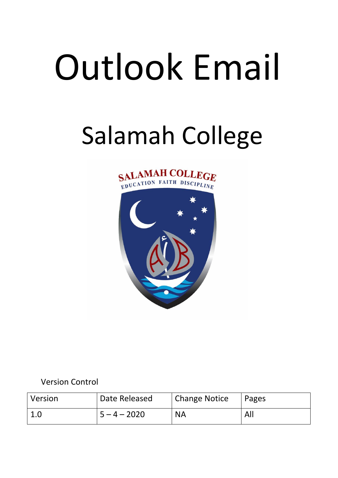# Outlook Email

# Salamah College





Version Control

| <i>Version</i> | Date Released  | <b>Change Notice</b> | Pages |
|----------------|----------------|----------------------|-------|
| 1.0            | $5 - 4 - 2020$ | <b>NA</b>            | All   |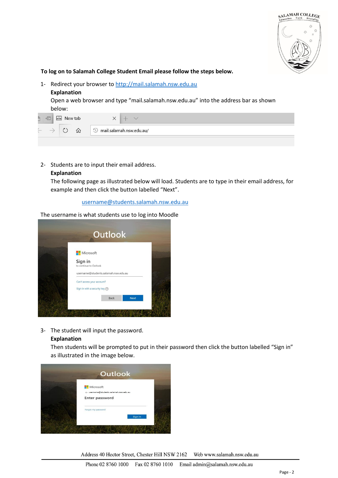

**To log on to Salamah College Student Email please follow the steps below.**

- 1- Redirect your browser to [http://mail.salamah.nsw.edu.au](http://mail.salamah.nsw.edu.au/)
	- **Explanation**

Open a web browser and type "mail.salamah.nsw.edu.au" into the address bar as shown below:

|   |                                | New tab | $\overline{\phantom{a}}$<br>100 |  |
|---|--------------------------------|---------|---------------------------------|--|
| w | ĸ,<br>mail.salamah.nsw.edu.au/ |         |                                 |  |

2- Students are to input their email address.

### **Explanation**

The following page as illustrated below will load. Students are to type in their email address, for example and then click the button labelled "Next".

## username@students.salamah.nsw.edu.au

The username is what students use to log into Moodle



3- The student will input the password.

### **Explanation**

Then students will be prompted to put in their password then click the button labelled "Sign in" as illustrated in the image below.



Address 40 Hector Street, Chester Hill NSW 2162 Web www.salamah.nsw.edu.au